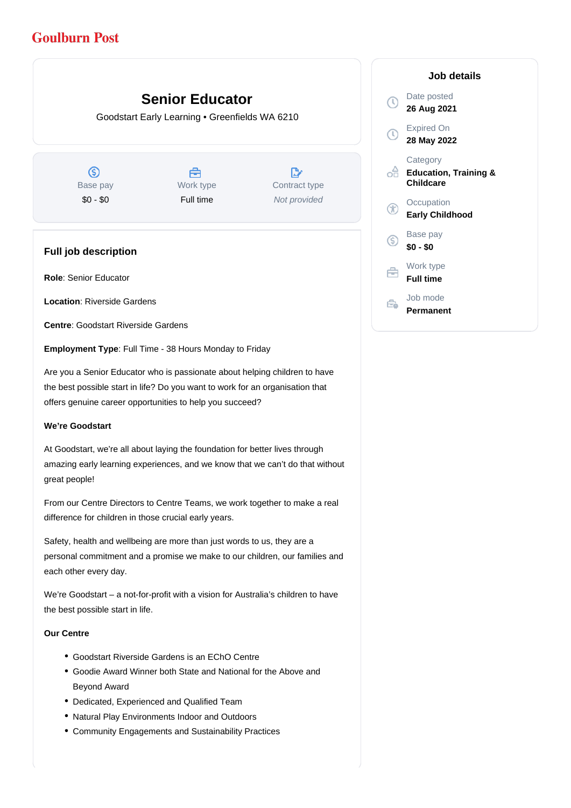# **Goulburn Post**

# **Senior Educator**

Goodstart Early Learning • Greenfields WA 6210

ග Base pay \$0 - \$0

Å Work type Full time

 $\mathbb{D}$ Contract type Not provided

# **Full job description**

**Role**: Senior Educator

**Location**: Riverside Gardens

**Centre**: Goodstart Riverside Gardens

**Employment Type**: Full Time - 38 Hours Monday to Friday

Are you a Senior Educator who is passionate about helping children to have the best possible start in life? Do you want to work for an organisation that offers genuine career opportunities to help you succeed?

## **We're Goodstart**

At Goodstart, we're all about laying the foundation for better lives through amazing early learning experiences, and we know that we can't do that without great people!

From our Centre Directors to Centre Teams, we work together to make a real difference for children in those crucial early years.

Safety, health and wellbeing are more than just words to us, they are a personal commitment and a promise we make to our children, our families and each other every day.

We're Goodstart – a not-for-profit with a vision for Australia's children to have the best possible start in life.

## **Our Centre**

- Goodstart Riverside Gardens is an EChO Centre
- Goodie Award Winner both State and National for the Above and Beyond Award
- Dedicated, Experienced and Qualified Team
- Natural Play Environments Indoor and Outdoors
- Community Engagements and Sustainability Practices

# **Job details** Date posted  $\Omega$ **26 Aug 2021** Expired On **28 May 2022 Category** ofi **Education, Training & Childcare Occupation Early Childhood** Base pay (S) **\$0 - \$0** Work type 户 **Full time** Job mode  $\oplus$ **Permanent**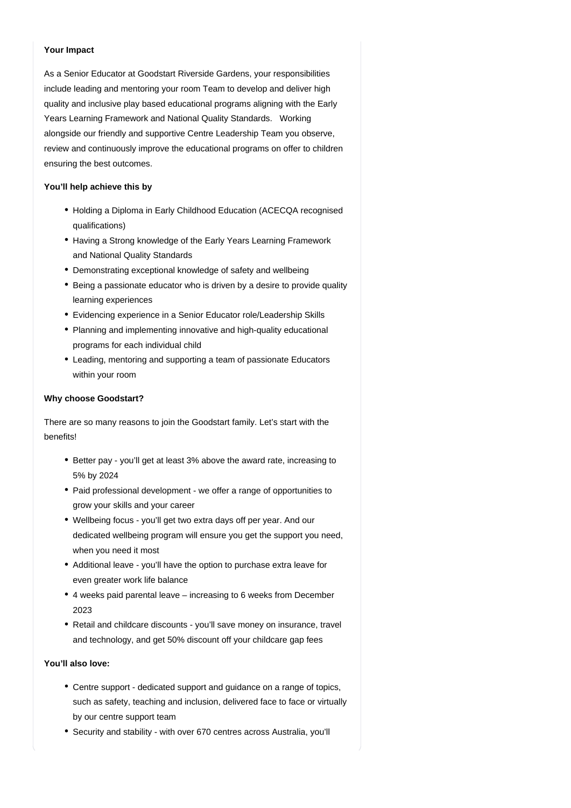# **Your Impact**

As a Senior Educator at Goodstart Riverside Gardens, your responsibilities include leading and mentoring your room Team to develop and deliver high quality and inclusive play based educational programs aligning with the Early Years Learning Framework and National Quality Standards. Working alongside our friendly and supportive Centre Leadership Team you observe, review and continuously improve the educational programs on offer to children ensuring the best outcomes.

#### **You'll help achieve this by**

- Holding a Diploma in Early Childhood Education (ACECQA recognised qualifications)
- Having a Strong knowledge of the Early Years Learning Framework and National Quality Standards
- Demonstrating exceptional knowledge of safety and wellbeing
- Being a passionate educator who is driven by a desire to provide quality learning experiences
- Evidencing experience in a Senior Educator role/Leadership Skills
- Planning and implementing innovative and high-quality educational programs for each individual child
- Leading, mentoring and supporting a team of passionate Educators within your room

## **Why choose Goodstart?**

There are so many reasons to join the Goodstart family. Let's start with the benefits!

- Better pay you'll get at least 3% above the award rate, increasing to 5% by 2024
- Paid professional development we offer a range of opportunities to grow your skills and your career
- Wellbeing focus you'll get two extra days off per year. And our dedicated wellbeing program will ensure you get the support you need, when you need it most
- Additional leave you'll have the option to purchase extra leave for even greater work life balance
- 4 weeks paid parental leave increasing to 6 weeks from December 2023
- Retail and childcare discounts you'll save money on insurance, travel and technology, and get 50% discount off your childcare gap fees

## **You'll also love:**

- Centre support dedicated support and guidance on a range of topics, such as safety, teaching and inclusion, delivered face to face or virtually by our centre support team
- Security and stability with over 670 centres across Australia, you'll